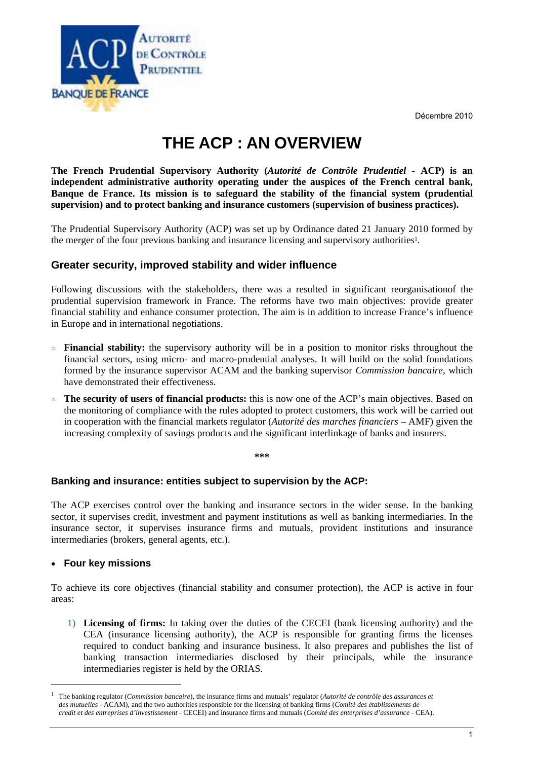Décembre 2010



# **THE ACP : AN OVERVIEW**

**The French Prudential Supervisory Authority (***Autorité de Contrôle Prudentiel* **- ACP) is an independent administrative authority operating under the auspices of the French central bank, Banque de France. Its mission is to safeguard the stability of the financial system (prudential supervision) and to protect banking and insurance customers (supervision of business practices).** 

The Prudential Supervisory Authority (ACP) was set up by Ordinance dated 21 January 2010 formed by the merger of the four previous banking and insurance licensing and supervisory authorities1.

# **Greater security, improved stability and wider influence**

Following discussions with the stakeholders, there was a resulted in significant reorganisationof the prudential supervision framework in France. The reforms have two main objectives: provide greater financial stability and enhance consumer protection. The aim is in addition to increase France's influence in Europe and in international negotiations.

- **Financial stability:** the supervisory authority will be in a position to monitor risks throughout the financial sectors, using micro- and macro-prudential analyses. It will build on the solid foundations formed by the insurance supervisor ACAM and the banking supervisor *Commission bancaire*, which have demonstrated their effectiveness.
- **The security of users of financial products:** this is now one of the ACP's main objectives. Based on the monitoring of compliance with the rules adopted to protect customers, this work will be carried out in cooperation with the financial markets regulator (*Autorité des marches financiers* – AMF) given the increasing complexity of savings products and the significant interlinkage of banks and insurers.

**\*\*\***

# **Banking and insurance: entities subject to supervision by the ACP:**

The ACP exercises control over the banking and insurance sectors in the wider sense. In the banking sector, it supervises credit, investment and payment institutions as well as banking intermediaries. In the insurance sector, it supervises insurance firms and mutuals, provident institutions and insurance intermediaries (brokers, general agents, etc.).

### **Four key missions**

l

To achieve its core objectives (financial stability and consumer protection), the ACP is active in four areas:

1) **Licensing of firms:** In taking over the duties of the CECEI (bank licensing authority) and the CEA (insurance licensing authority), the ACP is responsible for granting firms the licenses required to conduct banking and insurance business. It also prepares and publishes the list of banking transaction intermediaries disclosed by their principals, while the insurance intermediaries register is held by the ORIAS.

<sup>1</sup> The banking regulator (*Commission bancaire*), the insurance firms and mutuals' regulator (*Autorité de contrôle des assurances et des mutuelles* - ACAM), and the two authorities responsible for the licensing of banking firms (*Comité des établissements de credit et des entreprises d'investissement* - CECEI) and insurance firms and mutuals (*Comité des enterprises d'assurance* - CEA).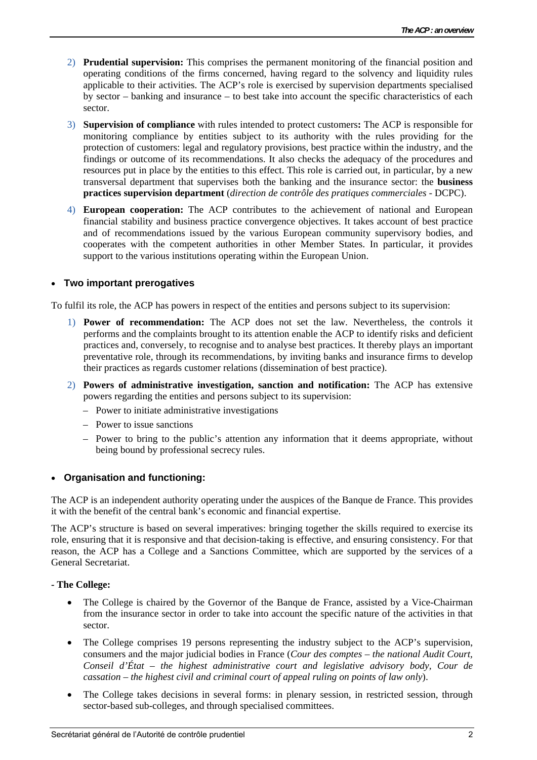- 2) **Prudential supervision:** This comprises the permanent monitoring of the financial position and operating conditions of the firms concerned, having regard to the solvency and liquidity rules applicable to their activities. The ACP's role is exercised by supervision departments specialised by sector – banking and insurance – to best take into account the specific characteristics of each sector.
- 3) **Supervision of compliance** with rules intended to protect customers**:** The ACP is responsible for monitoring compliance by entities subject to its authority with the rules providing for the protection of customers: legal and regulatory provisions, best practice within the industry, and the findings or outcome of its recommendations. It also checks the adequacy of the procedures and resources put in place by the entities to this effect. This role is carried out, in particular, by a new transversal department that supervises both the banking and the insurance sector: the **business practices supervision department** (*direction de contrôle des pratiques commerciales -* DCPC).
- 4) **European cooperation:** The ACP contributes to the achievement of national and European financial stability and business practice convergence objectives. It takes account of best practice and of recommendations issued by the various European community supervisory bodies, and cooperates with the competent authorities in other Member States. In particular, it provides support to the various institutions operating within the European Union.

# **Two important prerogatives**

To fulfil its role, the ACP has powers in respect of the entities and persons subject to its supervision:

- 1) **Power of recommendation:** The ACP does not set the law. Nevertheless, the controls it performs and the complaints brought to its attention enable the ACP to identify risks and deficient practices and, conversely, to recognise and to analyse best practices. It thereby plays an important preventative role, through its recommendations, by inviting banks and insurance firms to develop their practices as regards customer relations (dissemination of best practice).
- 2) **Powers of administrative investigation, sanction and notification:** The ACP has extensive powers regarding the entities and persons subject to its supervision:
	- Power to initiate administrative investigations
	- Power to issue sanctions
	- Power to bring to the public's attention any information that it deems appropriate, without being bound by professional secrecy rules.

### **Organisation and functioning:**

The ACP is an independent authority operating under the auspices of the Banque de France. This provides it with the benefit of the central bank's economic and financial expertise.

The ACP's structure is based on several imperatives: bringing together the skills required to exercise its role, ensuring that it is responsive and that decision-taking is effective, and ensuring consistency. For that reason, the ACP has a College and a Sanctions Committee, which are supported by the services of a General Secretariat.

### **- The College:**

- The College is chaired by the Governor of the Banque de France, assisted by a Vice-Chairman from the insurance sector in order to take into account the specific nature of the activities in that sector.
- The College comprises 19 persons representing the industry subject to the ACP's supervision, consumers and the major judicial bodies in France (*Cour des comptes – the national Audit Court, Conseil d'État – the highest administrative court and legislative advisory body, Cour de cassation – the highest civil and criminal court of appeal ruling on points of law only*).
- The College takes decisions in several forms: in plenary session, in restricted session, through sector-based sub-colleges, and through specialised committees.